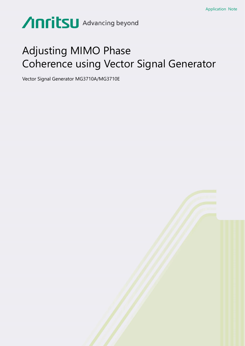# Anritsu Advancing beyond

## Adjusting MIMO Phase Coherence using Vector Signal Generator

Vector Signal Generator MG3710A/MG3710E

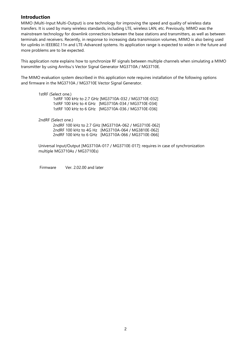## **Introduction**

MIMO (Multi-Input Multi-Output) is one technology for improving the speed and quality of wireless data transfers. It is used by many wireless standards, including LTE, wireless LAN, etc. Previously, MIMO was the mainstream technology for downlink connections between the base stations and transmitters, as well as between terminals and receivers. Recently, in response to increasing data transmission volumes, MIMO is also being used for uplinks in IEEE802.11n and LTE-Advanced systems. Its application range is expected to widen in the future and more problems are to be expected.

This application note explains how to synchronize RF signals between multiple channels when simulating a MIMO transmitter by using Anritsu's Vector Signal Generator MG3710A / MG3710E.

The MIMO evaluation system described in this application note requires installation of the following options and firmware in the MG3710A / MG3710E Vector Signal Generator.

1stRF (Select one.) 1stRF 100 kHz to 2.7 GHz [MG3710A-032 / MG3710E-032] 1stRF 100 kHz to 4 GHz [MG3710A-034 / MG3710E-034] 1stRF 100 kHz to 6 GHz [MG3710A-036 / MG3710E-036]

2ndRF (Select one.)

2ndRF 100 kHz to 2.7 GHz [MG3710A-062 / MG3710E-062] 2ndRF 100 kHz to 4G Hz [MG3710A-064 / MG3810E-062] 2ndRF 100 kHz to 6 GHz [MG3710A-066 / MG3710E-066]

Universal Input/Output [MG3710A-017 / MG3710E-017]: requires in case of synchronization multiple MG3710As / MG3710Es)

Firmware Ver. 2.02.00 and later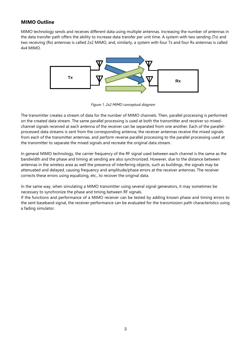## **MIMO Outline**

MIMO technology sends and receives different data using multiple antennas. Increasing the number of antennas in the data transfer path offers the ability to increase data transfer per unit time. A system with two sending (Tx) and two receiving (Rx) antennas is called 2x2 MIMO, and, similarly, a system with four Tx and four Rx antennas is called 4x4 MIMO.



*Figure 1. 2x2 MIMO conceptual diagram*

The transmitter creates a stream of data for the number of MIMO channels. Then, parallel processing is performed on the created data stream. The same parallel processing is used at both the transmitter and receiver so mixedchannel signals received at each antenna of the receiver can be separated from one another. Each of the parallelprocessed data streams is sent from the corresponding antenna; the receiver antennas receive the mixed signals from each of the transmitter antennas, and perform reverse parallel processing to the parallel processing used at the transmitter to separate the mixed signals and recreate the original data stream.

In general MIMO technology, the carrier frequency of the RF signal used between each channel is the same as the bandwidth and the phase and timing at sending are also synchronized. However, due to the distance between antennas in the wireless area as well the presence of interfering objects, such as buildings, the signals may be attenuated and delayed, causing frequency and amplitude/phase errors at the receiver antennas. The receiver corrects these errors using equalizing, etc., to recover the original data.

In the same way, when simulating a MIMO transmitter using several signal generators, it may sometimes be necessary to synchronize the phase and timing between RF signals.

If the functions and performance of a MIMO receiver can be tested by adding known phase and timing errors to the sent baseband signal, the receiver performance can be evaluated for the transmission path characteristics using a fading simulator.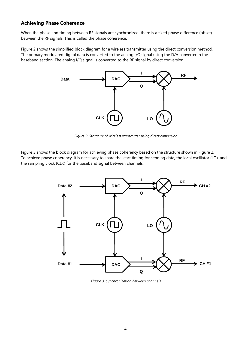## **Achieving Phase Coherence**

When the phase and timing between RF signals are synchronized, there is a fixed phase difference (offset) between the RF signals. This is called the phase coherence.

Figure 2 shows the simplified block diagram for a wireless transmitter using the direct conversion method. The primary modulated digital data is converted to the analog I/Q signal using the D/A converter in the baseband section. The analog I/Q signal is converted to the RF signal by direct conversion.



*Figure 2. Structure of wireless transmitter using direct conversion*

Figure 3 shows the block diagram for achieving phase coherency based on the structure shown in Figure 2. To achieve phase coherency, it is necessary to share the start timing for sending data, the local oscillator (LO), and the sampling clock (CLK) for the baseband signal between channels.



*Figure 3. Synchronization between channels*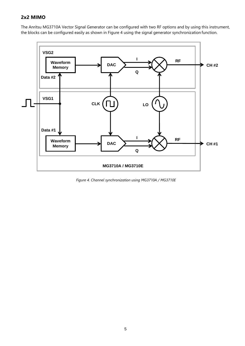## **2x2 MIMO**

The Anritsu MG3710A Vector Signal Generator can be configured with two RF options and by using this instrument, the blocks can be configured easily as shown in Figure 4 using the signal generator synchronization function.



*Figure 4. Channel synchronization using MG3710A / MG3710E*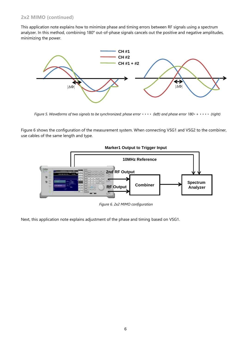## **2x2 MIMO (continued)**

This application note explains how to minimize phase and timing errors between RF signals using a spectrum analyzer. In this method, combining 180° out-of-phase signals cancels out the positive and negative amplitudes, minimizing the power.



*Figure 5. Waveforms of two signals to be synchronized; phase error*  $\cdots$  *(left) and phase error 180* $\cdots$  *(right)* 

Figure 6 shows the configuration of the measurement system. When connecting VSG1 and VSG2 to the combiner, use cables of the same length and type.



*Figure 6. 2x2 MIMO configuration*

Next, this application note explains adjustment of the phase and timing based on VSG1.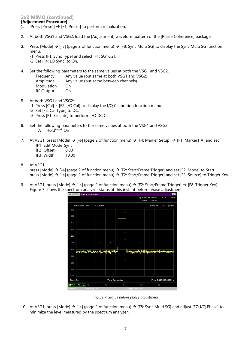## **2x2 MIMO (continued)**

## **[Adjustment Procedure]**

- 1. Press [Preset]  $\rightarrow$  [F1: Preset] to perform initialization.
- 2. At both VSG1 and VSG2, load the [Adjustment] waveform pattern of the [Phase Coherence] package.
- 3. Press [Mode]  $\rightarrow$  [ $\rightarrow$ ] (page 2 of function menu)  $\rightarrow$  [F8: Sync Multi SG] to display the Sync Multi SG function menu.
	- -1. Press [F1: Sync Type] and select [F4: SG1&2].
	- -2. Set [F4: LO Sync] to On.
- 4. Set the following parameters to the same values at both the VSG1 and VSG2.
	- Frequency Any value (but same at both VSG1 and VSG2)
	- Amplitude Any value (but same between channels)
	- Modulation On RF Output On
- 5. At both VSG1 and VSG2:

-1. Press [Cal]  $\cdot$  [F2: I/Q Cal] to display the I/Q Calibration function menu.

- -2. Set [F2: Cal Type] to DC.
- -3. Press [F1: Execute] to perform I/Q DC Cal.
- 6. Set the following parameters to the same values at both the VSG1 and VSG2. ATT Hold*Note1* On
- 7. At VSG1, press [Mode]  $\rightarrow$  [ $\rightarrow$ ] (page 2 of function menu)  $\rightarrow$  [F4: Marker Setup]  $\rightarrow$  [F1: Marker1 A] and set [F1] Edit Mode Sync
	- [F2] Offset 0.00<br>[F3] Width 10.00
	- [F3] Width
- 8. At VSG1,

press [Mode]  $\rightarrow$  [ $\rightarrow$ ] (page 2 of function menu)  $\rightarrow$  [F2: Start/Frame Trigger] and set [F2: Mode] to Start. press [Mode] → [→] (page 2 of function menu) → [F2: Start/Frame Trigger] and set [F3: Source] to Trigger Key.

9. At VSG1, press [Mode] → [→] (page 2 of function menu) → [F2: Start/Frame Trigger] → [F8: Trigger Key] Figure 7 shows the spectrum analyzer status at this instant before phase adjustment.



*Figure 7. Status before phase adjustment*

10. At VSG1, press [Mode]  $\rightarrow$  [ $\rightarrow$ ] (page 2 of function menu)  $\rightarrow$  [F8: Sync Multi SG] and adjust [F7: I/Q Phase] to minimize the level measured by the spectrum analyzer.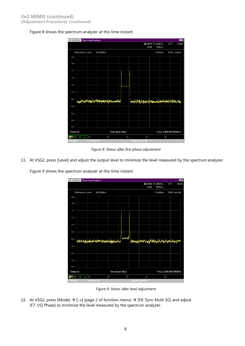

| / MS2830A |                 | Spectrum Analyzer |                                                                                  |                |       |                  |            |                                 |        |                                                                        | FO |
|-----------|-----------------|-------------------|----------------------------------------------------------------------------------|----------------|-------|------------------|------------|---------------------------------|--------|------------------------------------------------------------------------|----|
|           |                 |                   |                                                                                  |                |       |                  | <b>VBW</b> | <b>ZI RBW 31.25MHz</b><br>10MHz |        | ATT<br>30dB                                                            |    |
|           | Reference Level |                   | 20.00dBm                                                                         |                |       |                  |            | Positive                        |        | 10001 points                                                           |    |
| 20.0      |                 |                   |                                                                                  |                |       |                  |            |                                 |        |                                                                        |    |
| 10.0      |                 |                   |                                                                                  |                |       |                  |            |                                 |        |                                                                        |    |
|           |                 |                   |                                                                                  |                |       |                  |            |                                 |        |                                                                        |    |
| 0.0       |                 |                   |                                                                                  |                |       |                  |            |                                 |        |                                                                        |    |
| $-10.0$   |                 |                   |                                                                                  |                |       |                  |            |                                 |        |                                                                        |    |
| $-20.0$   |                 |                   |                                                                                  |                |       |                  |            |                                 |        |                                                                        |    |
| $-30.0$   |                 |                   |                                                                                  |                |       |                  |            |                                 |        |                                                                        |    |
|           |                 |                   |                                                                                  |                |       |                  |            |                                 |        |                                                                        |    |
| $-40.0$   |                 |                   | h <sub>in</sub> a Mililiki ya mba m <sub>a</sub> li da wa <sub>m</sub> ana wa Ma |                |       |                  |            |                                 |        | Lamk, With Ship and Without Company and Committee of the United States |    |
| $-50.0$   |                 |                   |                                                                                  |                |       |                  |            |                                 |        |                                                                        |    |
| $-60.0$   |                 |                   |                                                                                  |                |       |                  |            |                                 |        |                                                                        |    |
| $-70.0$   |                 |                   |                                                                                  |                |       |                  |            |                                 |        |                                                                        |    |
| $-80.0$   |                 |                   |                                                                                  |                |       |                  |            |                                 |        |                                                                        |    |
| Delay 0s  |                 |                   |                                                                                  | Time Span 40µs |       |                  |            |                                 |        | Freq. 2.000 000 000GHz                                                 |    |
| A型Lin     | 10 / 10         | $B -$             |                                                                                  | $\Box$         | $D -$ |                  | $E -$      |                                 | $\Box$ |                                                                        |    |
| Ref.Ext   |                 | Pre-Amp Off       |                                                                                  |                |       | Trigger External |            |                                 |        |                                                                        |    |

*Figure 8. Status after first phase adjustment*

11. At VSG2, press [Level] and adjust the output level to minimize the level measured by the spectrum analyzer.

Figure 9 shows the spectrum analyzer at this time instant.



*Figure 9. Status after level adjustment*

12. At VSG2, press [Mode]  $\rightarrow$  [ $\rightarrow$ ] (page 2 of function menu)  $\rightarrow$  [F8: Sync Multi SG] and adjust [F7: I/Q Phase] to minimize the level measured by the spectrum analyzer.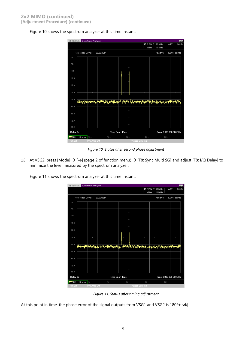Figure 10 shows the spectrum analyzer at this time instant.

| /1 MS2830A |                 | Spectrum Analyzer |          |                |          |                         |            |                       |        | $\blacksquare$         |
|------------|-----------------|-------------------|----------|----------------|----------|-------------------------|------------|-----------------------|--------|------------------------|
|            |                 |                   |          |                |          |                         |            | <b>M</b> RBW 31.25MHz |        | 30dB<br>ATT            |
|            |                 |                   |          |                |          |                         | <b>VBW</b> | 10MHz                 |        |                        |
|            | Reference Level |                   | 20.00dBm |                |          |                         |            | Positive              |        | 10001 points           |
| 20.0       |                 |                   |          |                |          |                         |            |                       |        |                        |
| 10.0       |                 |                   |          |                |          |                         |            |                       |        |                        |
|            |                 |                   |          |                |          |                         |            |                       |        |                        |
| 0.0        |                 |                   |          |                |          |                         |            |                       |        |                        |
| $-10.0$    |                 |                   |          |                |          |                         |            |                       |        |                        |
|            |                 |                   |          |                |          |                         |            |                       |        |                        |
| $-20.0$    |                 |                   |          |                |          |                         |            |                       |        |                        |
| $-30.0$    |                 |                   |          |                |          |                         |            |                       |        |                        |
|            |                 |                   |          |                |          |                         |            |                       |        |                        |
| $-40.0$    | Wahand          |                   |          |                | Madara   | <b>TANGULU</b>          |            |                       |        |                        |
| $-50.0$    |                 |                   |          |                |          |                         |            |                       |        |                        |
|            |                 |                   |          |                |          |                         |            |                       |        |                        |
| $-60.0$    |                 |                   |          |                |          |                         |            |                       |        |                        |
|            |                 |                   |          |                |          |                         |            |                       |        |                        |
| $-70.0$    |                 |                   |          |                |          |                         |            |                       |        |                        |
| $-80.0$    |                 |                   |          |                |          |                         |            |                       |        |                        |
| Delay 0s   |                 |                   |          | Time Span 40µs |          |                         |            |                       |        | Freq. 2.000 000 000GHz |
| A型Lin      | 10 / 10         | $B -$             |          | $C -$          | $\Box$ - |                         | 日          |                       | $\Box$ |                        |
| Ref.Ext    |                 | Pre-Amp Off       |          |                |          | <b>Trigger External</b> |            |                       |        |                        |

*Figure 10. Status after second phase adjustment*

13. At VSG2, press [Mode]  $\rightarrow$  [ $\rightarrow$ ] (page 2 of function menu)  $\rightarrow$  [F8: Sync Multi SG] and adjust [F8: I/Q Delay] to minimize the level measured by the spectrum analyzer.

Figure 11 shows the spectrum analyzer at this time instant.



*Figure 11. Status after timing adjustment*

At this point in time, the phase error of the signal outputs from VSG1 and VSG2 is 180°+ $|\Delta\Phi|$ .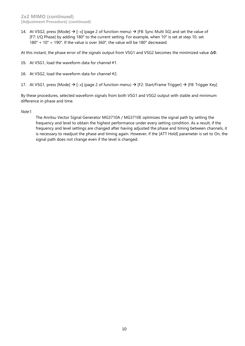14. At VSG2, press [Mode]  $\rightarrow$  [ $\rightarrow$ ] (page 2 of function menu)  $\rightarrow$  [F8: Sync Multi SG] and set the value of [F7: I/Q Phase] by adding 180° to the current setting. For example, when 10° is set at step 10, set 180° + 10° = 190°. If the value is over 360°, the value will be 180° decreased.

At this instant, the phase error of the signals output from VSG1 and VSG2 becomes the minimized value ΔΦ.

- 15. At VSG1, load the waveform data for channel #1.
- 16. At VSG2, load the waveform data for channel #2.

17. At VSG1, press [Mode]  $\rightarrow$  [ $\rightarrow$ ] (page 2 of function menu)  $\rightarrow$  [F2: Start/Frame Trigger]  $\rightarrow$  [F8: Trigger Key]

By these procedures, selected waveform signals from both VSG1 and VSG2 output with stable and minimum difference in phase and time.

## *Note1:*

The Anritsu Vector Signal Generator MG3710A / MG3710E optimizes the signal path by setting the frequency and level to obtain the highest performance under every setting condition. As a result, if the frequency and level settings are changed after having adjusted the phase and timing between channels, it is necessary to readjust the phase and timing again. However, if the [ATT Hold] parameter is set to On, the signal path does not change even if the level is changed.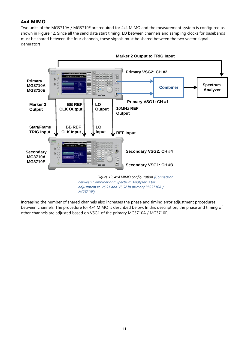## **4x4 MIMO**

Two units of the MG3710A / MG3710E are required for 4x4 MIMO and the measurement system is configured as shown in Figure 12. Since all the send data start timing, LO between channels and sampling clocks for basebands must be shared between the four channels, these signals must be shared between the two vector signal generators.



*adjustment to VSG1 and VSG2 in primary MG3710A / MG3710E)*

Increasing the number of shared channels also increases the phase and timing error adjustment procedures between channels. The procedure for 4x4 MIMO is described below. In this description, the phase and timing of other channels are adjusted based on VSG1 of the primary MG3710A / MG3710E.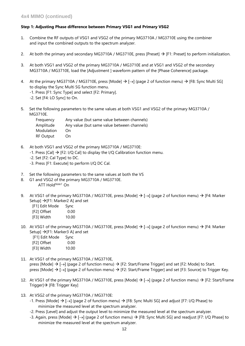## **Step 1: Adjusting Phase difference between Primary VSG1 and Primary VSG2**

- 1. Combine the RF outputs of VSG1 and VSG2 of the primary MG3710A / MG3710E using the combiner and input the combined outputs to the spectrum analyzer.
- 2. At both the primary and secondary MG3710A / MG3710E, press [Preset]  $\rightarrow$  [F1: Preset] to perform initialization.
- 3. At both VSG1 and VSG2 of the primary MG3710A / MG3710E and at VSG1 and VSG2 of the secondary MG3710A / MG3710E, load the [Adjustment ] waveform pattern of the [Phase Coherence] package.
- 4. At the primary MG3710A / MG3710E, press [Mode]  $\rightarrow$  [ $\rightarrow$ ] (page 2 of function menu)  $\rightarrow$  [F8: Sync Multi SG] to display the Sync Multi SG function menu.
	- -1. Press [F1: Sync Type] and select [F2: Primary].
	- -2. Set [F4: LO Sync] to On.
- 5. Set the following parameters to the same values at both VSG1 and VSG2 of the primary MG3710A / MG3710E.

| Frequency         | Any value (but same value between channels) |
|-------------------|---------------------------------------------|
| Amplitude         | Any value (but same value between channels) |
| <b>Modulation</b> | ()n                                         |
| RF Output         | On.                                         |

- 6. At both VSG1 and VSG2 of the primary MG3710A / MG3710E:
	- -1. Press [Cal]  $\rightarrow$  [F2: I/Q Cal] to display the I/Q Calibration function menu.
	- -2. Set [F2: Cal Type] to DC.
	- -3. Press [F1: Execute] to perform I/Q DC Cal.
- 7. Set the following parameters to the same values at both the VS
- 8. G1 and VSG2 of the primary MG3710A / MG3710E. ATT Hold*Note1* On
- 9. At VSG1 of the primary MG3710A / MG3710E, press [Mode]  $\rightarrow$  [ $\rightarrow$ ] (page 2 of function menu)  $\rightarrow$  [F4: Marker Setup] →[F1: Marker2 A] and set
	- [F1] Edit Mode Sync
	- [F2] Offset 0.00
	- [F3] Width 10.00
- 10. At VSG1 of the primary MG3710A / MG3710E, press [Mode]  $\rightarrow$  [ $\rightarrow$ ] (page 2 of function menu)  $\rightarrow$  [F4: Marker Setup]  $\rightarrow$  [F1: Marker3 A] and set

| [F1] Edit Mode | Sync  |
|----------------|-------|
| [F2] Offset    | 0.00  |
| [F3] Width     | 10.00 |

- 11. At VSG1 of the primary MG3710A / MG3710E, press [Mode]  $\rightarrow$  [ $\rightarrow$ ] (page 2 of function menu)  $\rightarrow$  [F2: Start/Frame Trigger] and set [F2: Mode] to Start. press [Mode]  $\rightarrow$  [ $\rightarrow$ ] (page 2 of function menu)  $\rightarrow$  [F2: Start/Frame Trigger] and set [F3: Source] to Trigger Key.
- 12. At VSG1 of the primary MG3710A / MG3710E, press [Mode]  $\rightarrow$  [ $\rightarrow$ ] (page 2 of function menu)  $\rightarrow$  [F2: Start/Frame Trigger]→ [F8: Trigger Key]
- 13. At VSG2 of the primary MG3710A / MG3710E:
	- -1. Press [Mode]  $\rightarrow$  [ $\rightarrow$ ] (page 2 of function menu)  $\rightarrow$  [F8: Sync Multi SG] and adjust [F7: I/Q Phase] to minimize the measured level at the spectrum analyzer.
	- -2. Press [Level] and adjust the output level to minimize the measured level at the spectrum analyzer.
	- -3. Again, press [Mode] → [→] (page 2 of function menu) → [F8: Sync Multi SG] and readjust [F7: I/Q Phase] to minimize the measured level at the spectrum analyzer.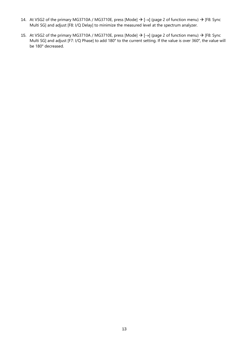- 14. At VSG2 of the primary MG3710A / MG3710E, press [Mode] → [→] (page 2 of function menu) → [F8: Sync Multi SG] and adjust [F8: I/Q Delay] to minimize the measured level at the spectrum analyzer.
- 15. At VSG2 of the primary MG3710A / MG3710E, press [Mode] → [→] (page 2 of function menu) → [F8: Sync Multi SG] and adjust [F7: I/Q Phase] to add 180° to the current setting. If the value is over 360°, the value will be 180° decreased.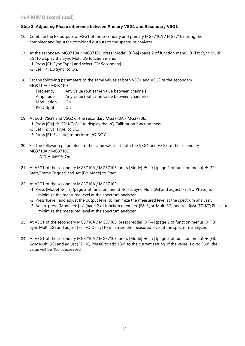## **Step 2: Adjusting Phase difference between Primary VSG1 and Secondary VSG1**

- 16. Combine the RF outputs of VSG1 of the secondary and primary MG3710A / MG3710E using the combiner and inputthe combined outputs to the spectrum analyzer.
- 17. At the secondary MG3710A / MG3710E, press [Mode] → [→] (page 2 of function menu) → [F8: Sync Multi SG] to display the Sync Multi SG function menu.
	- -1. Press [F1: Sync Type] and select [F2: Secondary].
	- -2. Set [F4: LO Sync] to On.
- 18. Set the following parameters to the same values at both VSG1 and VSG2 of the secondary MG3710A / MG3710E.

| Frequency  | Any value (but same value between channels) |
|------------|---------------------------------------------|
| Amplitude  | Any value (but same value between channels) |
| Modulation | ()n                                         |
| RF Output  | On                                          |

- 19. At both VSG1 and VSG2 of the secondary MG3710A / MG3710E:
	- -1. Press [Cal]  $\rightarrow$  [F2: I/Q Cal] to display the I/Q Calibration function menu.
	- -2. Set [F2: Cal Type] to DC.
	- -3. Press [F1: Execute] to perform I/Q DC Cal.
- 20. Set the following parameters to the same values at both the VSG1 and VSG2 of the secondary MG3710A / MG3710E. ATT Hold*Note1* On
- 21. At VSG1 of the secondary MG3710A / MG3710E, press [Mode]  $\rightarrow$  [ $\rightarrow$ ] (page 2 of function menu)  $\rightarrow$  [F2: Start/Frame Trigger] and set [F2: Mode] to Start.
- 22. At VSG1 of the secondary MG3710A / MG3710E:
	- -1. Press [Mode]  $\rightarrow$  [ $\rightarrow$ ] (page 2 of function menu)  $\rightarrow$  [F8: Sync Multi SG] and adjust [F7: I/Q Phase] to minimize the measured level at the spectrum analyzer.
	- -2. Press [Level] and adjust the output level to minimize the measured level at the spectrum analyzer.
	- -3. Again, press [Mode] → [→] (page 2 of function menu) → [F8: Sync Multi SG] and readjust [F7: I/Q Phase] to minimize the measured level at the spectrum analyzer.
- 23. At VSG1 of the secondary MG3710A / MG3710E, press [Mode]  $\rightarrow$  [ $\rightarrow$ ] (page 2 of function menu)  $\rightarrow$  [F8: Sync Multi SG] and adjust [F8: I/Q Delay] to minimize the measured level at the spectrum analyzer.
- 24. At VSG1 of the secondary MG3710A / MG3710E, press [Mode]  $\rightarrow$  [ $\rightarrow$ ] (page 2 of function menu)  $\rightarrow$  [F8: Sync Multi SG] and adjust [F7: I/Q Phase] to add 180° to the current setting. If the value is over 360°, the value will be 180° decreased.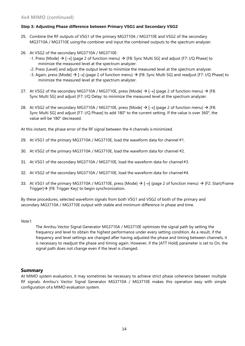## **Step 3: Adjusting Phase difference between Primary VSG1 and Secondary VSG2**

- 25. Combine the RF outputs of VSG1 of the primary MG3710A / MG3710E and VSG2 of the secondary MG3710A / MG3710E usingthe combiner and input the combined outputs to the spectrum analyzer.
- 26. At VSG2 of the secondary MG3710A / MG3710E:
	- -1. Press [Mode]  $\rightarrow$  [ $\rightarrow$ ] (page 2 of function menu)  $\rightarrow$  [F8: Sync Multi SG] and adjust [F7: I/Q Phase] to minimize the measured level at the spectrum analyzer.
	- -2. Press [Level] and adjust the output level to minimize the measured level at the spectrum analyzer.
	- -3. Again, press [Mode] → [→] (page 2 of function menu) → [F8: Sync Multi SG] and readjust [F7: I/Q Phase] to minimize the measured level at the spectrum analyzer.
- 27. At VSG2 of the secondary MG3710A / MG3710E, press [Mode]  $\rightarrow$  [ $\rightarrow$ ] (page 2 of function menu)  $\rightarrow$  [F8: Sync Multi SG] and adjust [F7: I/Q Delay: to minimize the measured level at the spectrum analyzer.
- 28. At VSG2 of the secondary MG3710A / MG3710E, press [Mode]  $\rightarrow$  [ $\rightarrow$ ] (page 2 of function menu)  $\rightarrow$  [F8: Sync Multi SG] and adjust [F7: I/Q Phase] to add 180° to the current setting. If the value is over 360°, the value will be 180° decreased.

At this instant, the phase error of the RF signal between the 4 channels is minimized.

- 29. At VSG1 of the primary MG3710A / MG3710E, load the waveform data for channel #1.
- 30. At VSG2 of the primary MG3710A / MG3710E, load the waveform data for channel #2.
- 31. At VSG1 of the secondary MG3710A / MG3710E, load the waveform data for channel#3.
- 32. At VSG2 of the secondary MG3710A / MG3710E, load the waveform data for channel#4.
- 33. At VSG1 of the primary MG3710A / MG3710E, press [Mode]  $\rightarrow$  [ $\rightarrow$ ] (page 2 of function menu)  $\rightarrow$  [F2: Start/Frame Trigger]→ [F8: Trigger Key] to begin synchronization.

By these procedures, selected waveform signals from both VSG1 and VSG2 of both of the primary and secondary MG3710A / MG3710E output with stable and minimum difference in phase and time.

### *Note1:*

The Anritsu Vector Signal Generator MG3710A / MG3710E optimizes the signal path by setting the frequency and level to obtain the highest performance under every setting condition. As a result, if the frequency and level settings are changed after having adjusted the phase and timing between channels, it is necessary to readjust the phase and timing again. However, if the [ATT Hold] parameter is set to On, the signal path does not change even if the level is changed.

## **Summary**

At MIMO system evaluation, it may sometimes be necessary to achieve strict phase coherence between multiple RF signals. Anritsu's Vector Signal Generator MG3710A / MG3710E makes this operation easy with simple configuration ofa MIMO evaluation system.